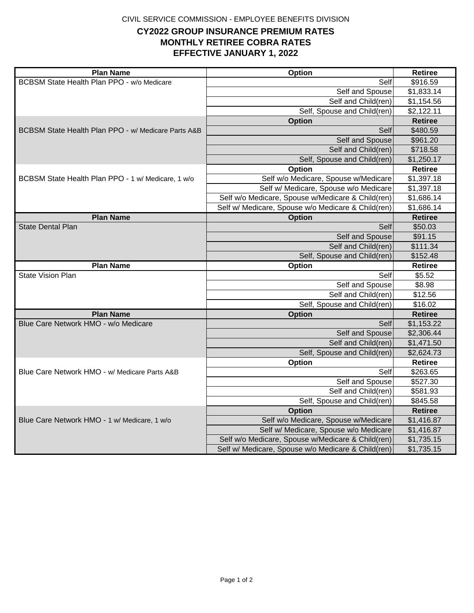CIVIL SERVICE COMMISSION - EMPLOYEE BENEFITS DIVISION

## **MONTHLY RETIREE COBRA RATES CY2022 GROUP INSURANCE PREMIUM RATES EFFECTIVE JANUARY 1, 2022**

| <b>Plan Name</b>                                    | Option                                                                                                  | <b>Retiree</b>           |
|-----------------------------------------------------|---------------------------------------------------------------------------------------------------------|--------------------------|
| BCBSM State Health Plan PPO - w/o Medicare          | Self                                                                                                    | \$916.59                 |
|                                                     | Self and Spouse                                                                                         | \$1,833.14               |
|                                                     | Self and Child(ren)                                                                                     | \$1,154.56               |
|                                                     | Self, Spouse and Child(ren)                                                                             | \$2,122.11               |
|                                                     | <b>Option</b>                                                                                           | <b>Retiree</b>           |
| BCBSM State Health Plan PPO - w/ Medicare Parts A&B | Self                                                                                                    | \$480.59                 |
|                                                     | Self and Spouse                                                                                         | \$961.20                 |
|                                                     | Self and Child(ren)                                                                                     | \$718.58                 |
|                                                     | Self, Spouse and Child(ren)                                                                             | \$1,250.17               |
|                                                     | Option                                                                                                  | <b>Retiree</b>           |
| BCBSM State Health Plan PPO - 1 w/ Medicare, 1 w/o  | Self w/o Medicare, Spouse w/Medicare                                                                    | \$1,397.18               |
|                                                     | Self w/ Medicare, Spouse w/o Medicare                                                                   | \$1,397.18               |
|                                                     | Self w/o Medicare, Spouse w/Medicare & Child(ren)                                                       | \$1,686.14               |
|                                                     | Self w/ Medicare, Spouse w/o Medicare & Child(ren)                                                      | \$1,686.14               |
| <b>Plan Name</b>                                    | <b>Option</b>                                                                                           | <b>Retiree</b>           |
| <b>State Dental Plan</b>                            | Self                                                                                                    | \$50.03                  |
|                                                     | Self and Spouse                                                                                         | \$91.15                  |
|                                                     | Self and Child(ren)                                                                                     | \$111.34                 |
|                                                     | Self, Spouse and Child(ren)                                                                             | \$152.48                 |
| <b>Plan Name</b>                                    | Option                                                                                                  | <b>Retiree</b>           |
| <b>State Vision Plan</b>                            | Self                                                                                                    | \$5.52                   |
|                                                     | Self and Spouse                                                                                         | \$8.98                   |
|                                                     | Self and Child(ren)                                                                                     | \$12.56                  |
|                                                     | Self, Spouse and Child(ren)                                                                             | \$16.02                  |
| <b>Plan Name</b>                                    | <b>Option</b>                                                                                           | <b>Retiree</b>           |
| Blue Care Network HMO - w/o Medicare                | Self                                                                                                    | \$1,153.22               |
|                                                     | Self and Spouse                                                                                         | \$2,306.44               |
|                                                     | Self and Child(ren)                                                                                     | \$1,471.50               |
|                                                     | Self, Spouse and Child(ren)                                                                             | \$2,624.73               |
|                                                     | Option                                                                                                  | <b>Retiree</b>           |
| Blue Care Network HMO - w/ Medicare Parts A&B       | Self                                                                                                    | \$263.65                 |
|                                                     | Self and Spouse                                                                                         | \$527.30                 |
|                                                     | Self and Child(ren)                                                                                     | \$581.93                 |
|                                                     | Self, Spouse and Child(ren)                                                                             | \$845.58                 |
|                                                     | <b>Option</b>                                                                                           | <b>Retiree</b>           |
| Blue Care Network HMO - 1 w/ Medicare, 1 w/o        |                                                                                                         | \$1,416.87               |
|                                                     | Self w/o Medicare, Spouse w/Medicare                                                                    |                          |
|                                                     | Self w/ Medicare, Spouse w/o Medicare                                                                   | \$1,416.87               |
|                                                     | Self w/o Medicare, Spouse w/Medicare & Child(ren)<br>Self w/ Medicare, Spouse w/o Medicare & Child(ren) | \$1,735.15<br>\$1,735.15 |